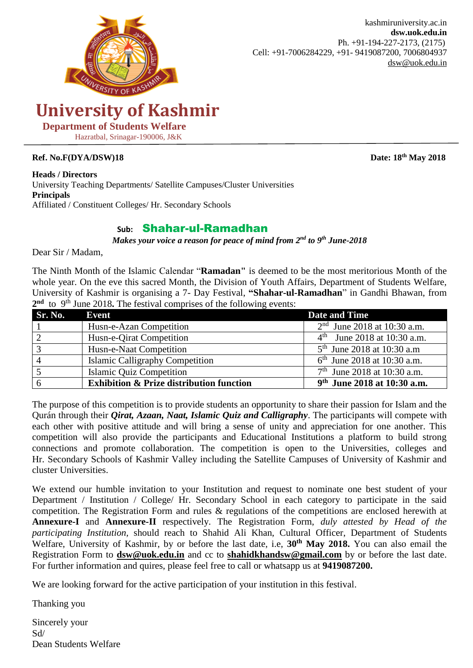

# **University of Kashmir**

 **Department of Students Welfare** Hazratbal, Srinagar-190006, J&K

#### **Ref. No.F(DYA/DSW)18**

**Heads / Directors**  University Teaching Departments/ Satellite Campuses/Cluster Universities **Principals** Affiliated / Constituent Colleges/ Hr. Secondary Schools

# **Sub:** Shahar-ul-Ramadhan

*Makes your voice a reason for peace of mind from 2 nd to 9 th June-2018*

Dear Sir / Madam,

The Ninth Month of the Islamic Calendar "**Ramadan"** is deemed to be the most meritorious Month of the whole year. On the eve this sacred Month, the Division of Youth Affairs, Department of Students Welfare, University of Kashmir is organising a 7- Day Festival, **"Shahar-ul-Ramadhan**" in Gandhi Bhawan, from 2<sup>nd</sup> to 9<sup>th</sup> June 2018. The festival comprises of the following events:

| <b>Sr. No.</b> | <b>Event</b>                                        | <b>Date and Time</b>                    |
|----------------|-----------------------------------------------------|-----------------------------------------|
|                | Husn-e-Azan Competition                             | $2nd$ June 2018 at 10:30 a.m.           |
|                | Husn-e-Qirat Competition                            | $4th$ June 2018 at 10:30 a.m.           |
|                | Husn-e-Naat Competition                             | $5th$ June 2018 at 10:30 a.m            |
|                | Islamic Calligraphy Competition                     | $6th$ June 2018 at 10:30 a.m.           |
|                | Islamic Quiz Competition                            | $7th$ June 2018 at 10:30 a.m.           |
|                | <b>Exhibition &amp; Prize distribution function</b> | 9 <sup>th</sup> June 2018 at 10:30 a.m. |

The purpose of this competition is to provide students an opportunity to share their passion for Islam and the Qurán through their *Qirat, Azaan, Naat, Islamic Quiz and Calligraphy*. The participants will compete with each other with positive attitude and will bring a sense of unity and appreciation for one another. This competition will also provide the participants and Educational Institutions a platform to build strong connections and promote collaboration. The competition is open to the Universities, colleges and Hr. Secondary Schools of Kashmir Valley including the Satellite Campuses of University of Kashmir and cluster Universities.

We extend our humble invitation to your Institution and request to nominate one best student of your Department / Institution / College/ Hr. Secondary School in each category to participate in the said competition. The Registration Form and rules & regulations of the competitions are enclosed herewith at **Annexure-I** and **Annexure-II** respectively. The Registration Form, *duly attested by Head of the participating Institution,* should reach to Shahid Ali Khan, Cultural Officer, Department of Students Welfare, University of Kashmir, by or before the last date, i.e, **30th May 2018.** You can also email the Registration Form to **[dsw@uok.edu.in](mailto:dsw@uok.edu.in)** and cc to **[shahidkhandsw@gmail.com](mailto:shahidkhandsw@gmail.com)** by or before the last date. For further information and quires, please feel free to call or whatsapp us at **9419087200.**

We are looking forward for the active participation of your institution in this festival.

Thanking you

Sincerely your Sd/ Dean Students Welfare Date:  $18^{th}$  May 2018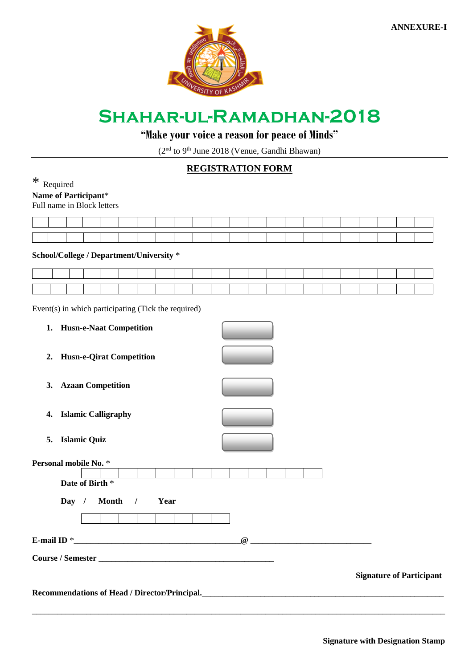

# **Shahar-ul-Ramadhan-2018**

# **"Make your voice a reason for peace of Minds"**

(2<sup>nd</sup> to 9<sup>th</sup> June 2018 (Venue, Gandhi Bhawan)

## **REGISTRATION FORM**

# \* Required **Name of Participant**\*

| Full name in Block letters |  |
|----------------------------|--|
|                            |  |

| the contract of the contract of the                 |  |  |                                                                                                 | the contract of the contract of the contract of the contract of the contract of |  |                                                                                                                 |  |  |  |  | the contract of the contract of the contract of the contract of the contract of the contract of the contract of |  |
|-----------------------------------------------------|--|--|-------------------------------------------------------------------------------------------------|---------------------------------------------------------------------------------|--|-----------------------------------------------------------------------------------------------------------------|--|--|--|--|-----------------------------------------------------------------------------------------------------------------|--|
| and the contract of the contract of the contract of |  |  | the contract of the contract of the contract of the contract of the contract of the contract of |                                                                                 |  | the contract of the contract of the contract of the contract of the contract of the contract of the contract of |  |  |  |  |                                                                                                                 |  |

#### **School/College / Department/University** \*

|  |  |  | <b>All Contract Contract Contract Contract</b> | and the contract of the contract of |  |  |  |  |  |  |
|--|--|--|------------------------------------------------|-------------------------------------|--|--|--|--|--|--|
|  |  |  |                                                |                                     |  |  |  |  |  |  |
|  |  |  |                                                |                                     |  |  |  |  |  |  |

Event(s) in which participating (Tick the required)

| 1. Husn-e-Naat Competition  |          |                                 |
|-----------------------------|----------|---------------------------------|
| 2. Husn-e-Qirat Competition |          |                                 |
| 3. Azaan Competition        |          |                                 |
| 4. Islamic Calligraphy      |          |                                 |
| 5. Islamic Quiz             |          |                                 |
| Personal mobile No. *       |          |                                 |
| Date of Birth *             |          |                                 |
| Month /<br>Day $/$<br>Year  |          |                                 |
|                             |          |                                 |
|                             | $\omega$ |                                 |
|                             |          |                                 |
|                             |          | <b>Signature of Participant</b> |
|                             |          |                                 |

 $\_$  , and the state of the state of the state of the state of the state of the state of the state of the state of the state of the state of the state of the state of the state of the state of the state of the state of the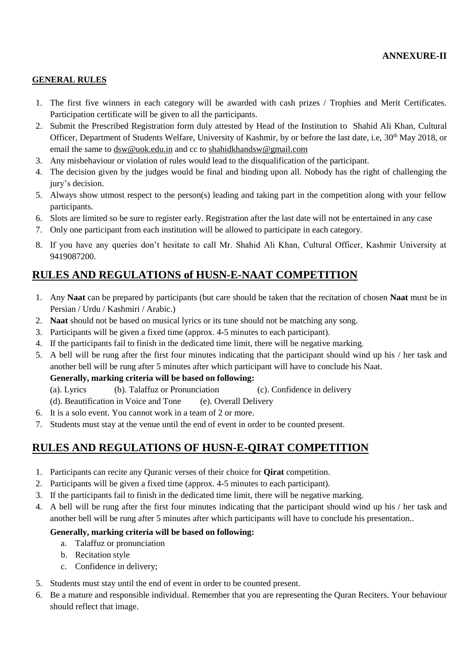#### **GENERAL RULES**

- 1. The first five winners in each category will be awarded with cash prizes / Trophies and Merit Certificates. Participation certificate will be given to all the participants.
- 2. Submit the Prescribed Registration form duly attested by Head of the Institution to Shahid Ali Khan, Cultural Officer, Department of Students Welfare, University of Kashmir, by or before the last date, i.e, 30<sup>th</sup> May 2018, or email the same to [dsw@uok.edu.in](mailto:dsw@uok.edu.in) and cc to [shahidkhandsw@gmail.com](mailto:shahidkhandsw@gmail.com)
- 3. Any misbehaviour or violation of rules would lead to the disqualification of the participant.
- 4. The decision given by the judges would be final and binding upon all. Nobody has the right of challenging the jury's decision.
- 5. Always show utmost respect to the person(s) leading and taking part in the competition along with your fellow participants.
- 6. Slots are limited so be sure to register early. Registration after the last date will not be entertained in any case
- 7. Only one participant from each institution will be allowed to participate in each category.
- 8. If you have any queries don't hesitate to call Mr. Shahid Ali Khan, Cultural Officer, Kashmir University at 9419087200.

# **RULES AND REGULATIONS of HUSN-E-NAAT COMPETITION**

- 1. Any **Naat** can be prepared by participants (but care should be taken that the recitation of chosen **Naat** must be in Persian / Urdu / Kashmiri / Arabic.)
- 2. **Naat** should not be based on musical lyrics or its tune should not be matching any song.
- 3. Participants will be given a fixed time (approx. 4-5 minutes to each participant).
- 4. If the participants fail to finish in the dedicated time limit, there will be negative marking.
- 5. A bell will be rung after the first four minutes indicating that the participant should wind up his / her task and another bell will be rung after 5 minutes after which participant will have to conclude his Naat.

#### **Generally, marking criteria will be based on following:**

- (a). Lyrics (b). Talaffuz or Pronunciation (c). Confidence in delivery
- (d). Beautification in Voice and Tone (e). Overall Delivery
- 6. It is a solo event. You cannot work in a team of 2 or more.
- 7. Students must stay at the venue until the end of event in order to be counted present.

# **RULES AND REGULATIONS OF HUSN-E-QIRAT COMPETITION**

- 1. Participants can recite any Quranic verses of their choice for **Qirat** competition.
- 2. Participants will be given a fixed time (approx. 4-5 minutes to each participant).
- 3. If the participants fail to finish in the dedicated time limit, there will be negative marking.
- 4. A bell will be rung after the first four minutes indicating that the participant should wind up his / her task and another bell will be rung after 5 minutes after which participants will have to conclude his presentation..

## **Generally, marking criteria will be based on following:**

- a. Talaffuz or pronunciation
- b. Recitation style
- c. Confidence in delivery;
- 5. Students must stay until the end of event in order to be counted present.
- 6. Be a mature and responsible individual. Remember that you are representing the Quran Reciters. Your behaviour should reflect that image.